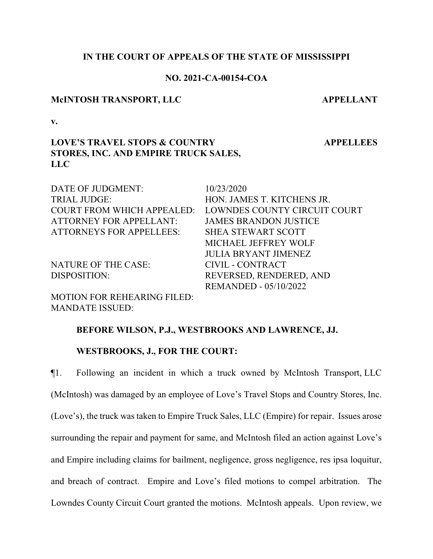### **IN THE COURT OF APPEALS OF THE STATE OF MISSISSIPPI**

#### **NO. 2021-CA-00154-COA**

#### **McINTOSH TRANSPORT, LLC APPELLANT**

**v.**

# **LOVE'S TRAVEL STOPS & COUNTRY STORES, INC. AND EMPIRE TRUCK SALES, LLC**

DATE OF JUDGMENT: 10/23/2020 TRIAL JUDGE: HON. JAMES T. KITCHENS JR. COURT FROM WHICH APPEALED: LOWNDES COUNTY CIRCUIT COURT ATTORNEY FOR APPELLANT: JAMES BRANDON JUSTICE ATTORNEYS FOR APPELLEES: SHEA STEWART SCOTT MICHAEL JEFFREY WOLF JULIA BRYANT JIMENEZ NATURE OF THE CASE: CIVIL - CONTRACT DISPOSITION: REVERSED, RENDERED, AND REMANDED - 05/10/2022

MOTION FOR REHEARING FILED: MANDATE ISSUED:

#### **BEFORE WILSON, P.J., WESTBROOKS AND LAWRENCE, JJ.**

#### **WESTBROOKS, J., FOR THE COURT:**

¶1. Following an incident in which a truck owned by McIntosh Transport, LLC (McIntosh) was damaged by an employee of Love's Travel Stops and Country Stores, Inc. (Love's), the truck was taken to Empire Truck Sales, LLC (Empire) for repair. Issues arose surrounding the repair and payment for same, and McIntosh filed an action against Love's and Empire including claims for bailment, negligence, gross negligence, res ipsa loquitur, and breach of contract. Empire and Love's filed motions to compel arbitration. The Lowndes County Circuit Court granted the motions. McIntosh appeals. Upon review, we

**APPELLEES**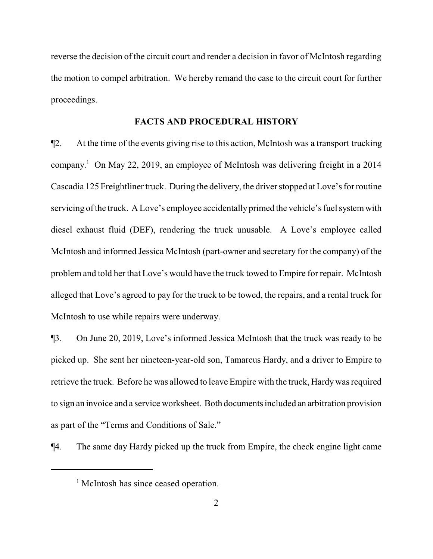reverse the decision of the circuit court and render a decision in favor of McIntosh regarding the motion to compel arbitration. We hereby remand the case to the circuit court for further proceedings.

#### **FACTS AND PROCEDURAL HISTORY**

¶2. At the time of the events giving rise to this action, McIntosh was a transport trucking company. <sup>1</sup> On May 22, 2019, an employee of McIntosh was delivering freight in a 2014 Cascadia 125 Freightliner truck. During the delivery, the driver stopped at Love's for routine servicing of the truck. A Love's employee accidentally primed the vehicle's fuel system with diesel exhaust fluid (DEF), rendering the truck unusable. A Love's employee called McIntosh and informed Jessica McIntosh (part-owner and secretary for the company) of the problem and told her that Love's would have the truck towed to Empire for repair. McIntosh alleged that Love's agreed to pay for the truck to be towed, the repairs, and a rental truck for McIntosh to use while repairs were underway.

¶3. On June 20, 2019, Love's informed Jessica McIntosh that the truck was ready to be picked up. She sent her nineteen-year-old son, Tamarcus Hardy, and a driver to Empire to retrieve the truck. Before he was allowed to leave Empire with the truck, Hardywas required to sign an invoice and a service worksheet. Both documents included an arbitration provision as part of the "Terms and Conditions of Sale."

¶4. The same day Hardy picked up the truck from Empire, the check engine light came

<sup>&</sup>lt;sup>1</sup> McIntosh has since ceased operation.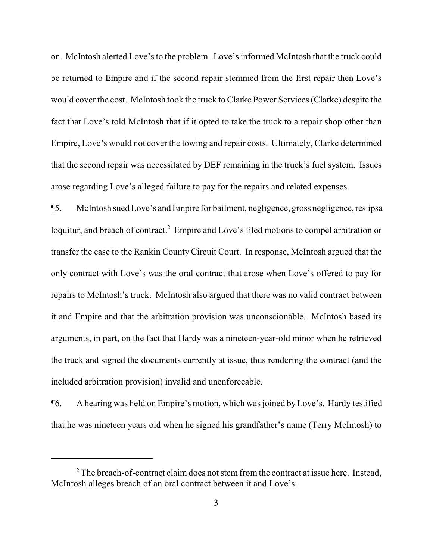on. McIntosh alerted Love's to the problem. Love's informed McIntosh that the truck could be returned to Empire and if the second repair stemmed from the first repair then Love's would cover the cost. McIntosh took the truck to Clarke Power Services (Clarke) despite the fact that Love's told McIntosh that if it opted to take the truck to a repair shop other than Empire, Love's would not cover the towing and repair costs. Ultimately, Clarke determined that the second repair was necessitated by DEF remaining in the truck's fuel system. Issues arose regarding Love's alleged failure to pay for the repairs and related expenses.

¶5. McIntosh sued Love's and Empire for bailment, negligence, gross negligence,res ipsa loquitur, and breach of contract.<sup>2</sup> Empire and Love's filed motions to compel arbitration or transfer the case to the Rankin County Circuit Court. In response, McIntosh argued that the only contract with Love's was the oral contract that arose when Love's offered to pay for repairs to McIntosh's truck. McIntosh also argued that there was no valid contract between it and Empire and that the arbitration provision was unconscionable. McIntosh based its arguments, in part, on the fact that Hardy was a nineteen-year-old minor when he retrieved the truck and signed the documents currently at issue, thus rendering the contract (and the included arbitration provision) invalid and unenforceable.

¶6. A hearing was held on Empire's motion, which was joined byLove's. Hardy testified that he was nineteen years old when he signed his grandfather's name (Terry McIntosh) to

 $2^2$  The breach-of-contract claim does not stem from the contract at issue here. Instead, McIntosh alleges breach of an oral contract between it and Love's.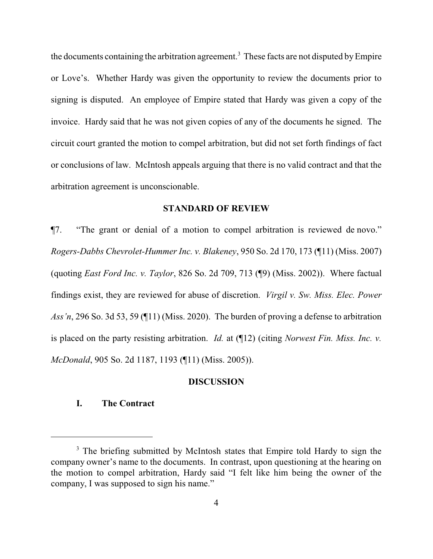the documents containing the arbitration agreement.<sup>3</sup> These facts are not disputed by Empire or Love's. Whether Hardy was given the opportunity to review the documents prior to signing is disputed. An employee of Empire stated that Hardy was given a copy of the invoice. Hardy said that he was not given copies of any of the documents he signed. The circuit court granted the motion to compel arbitration, but did not set forth findings of fact or conclusions of law. McIntosh appeals arguing that there is no valid contract and that the arbitration agreement is unconscionable.

#### **STANDARD OF REVIEW**

¶7. "The grant or denial of a motion to compel arbitration is reviewed de novo." *Rogers-Dabbs Chevrolet-Hummer Inc. v. Blakeney*, 950 So. 2d 170, 173 (¶11) (Miss. 2007) (quoting *East Ford Inc. v. Taylor*, 826 So. 2d 709, 713 (¶9) (Miss. 2002)). Where factual findings exist, they are reviewed for abuse of discretion. *Virgil v. Sw. Miss. Elec. Power Ass'n*, 296 So. 3d 53, 59 (¶11) (Miss. 2020). The burden of proving a defense to arbitration is placed on the party resisting arbitration. *Id.* at (¶12) (citing *Norwest Fin. Miss. Inc. v. McDonald*, 905 So. 2d 1187, 1193 (¶11) (Miss. 2005)).

#### **DISCUSSION**

### **I. The Contract**

<sup>&</sup>lt;sup>3</sup> The briefing submitted by McIntosh states that Empire told Hardy to sign the company owner's name to the documents. In contrast, upon questioning at the hearing on the motion to compel arbitration, Hardy said "I felt like him being the owner of the company, I was supposed to sign his name."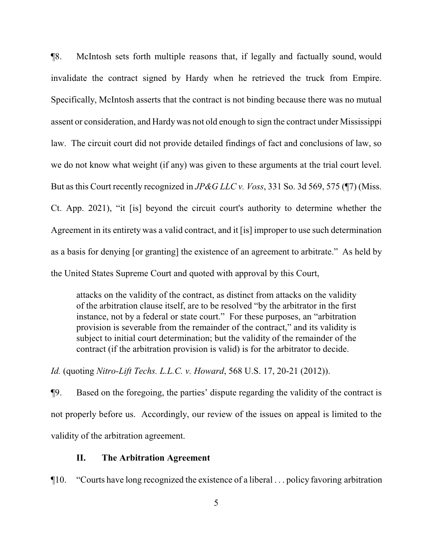¶8. McIntosh sets forth multiple reasons that, if legally and factually sound, would invalidate the contract signed by Hardy when he retrieved the truck from Empire. Specifically, McIntosh asserts that the contract is not binding because there was no mutual assent or consideration, and Hardy was not old enough to sign the contract under Mississippi law. The circuit court did not provide detailed findings of fact and conclusions of law, so we do not know what weight (if any) was given to these arguments at the trial court level. But as this Court recently recognized in *JP&G LLC v. Voss*, 331 So. 3d 569, 575 (¶7) (Miss. Ct. App. 2021), "it [is] beyond the circuit court's authority to determine whether the Agreement in its entirety was a valid contract, and it [is] improper to use such determination as a basis for denying [or granting] the existence of an agreement to arbitrate." As held by the United States Supreme Court and quoted with approval by this Court,

attacks on the validity of the contract, as distinct from attacks on the validity of the arbitration clause itself, are to be resolved "by the arbitrator in the first instance, not by a federal or state court." For these purposes, an "arbitration provision is severable from the remainder of the contract," and its validity is subject to initial court determination; but the validity of the remainder of the contract (if the arbitration provision is valid) is for the arbitrator to decide.

*Id.* (quoting *Nitro-Lift Techs. L.L.C. v. Howard*, 568 U.S. 17, 20-21 (2012)).

¶9. Based on the foregoing, the parties' dispute regarding the validity of the contract is not properly before us. Accordingly, our review of the issues on appeal is limited to the validity of the arbitration agreement.

#### **II. The Arbitration Agreement**

¶10. "Courts have long recognized the existence of a liberal . . . policy favoring arbitration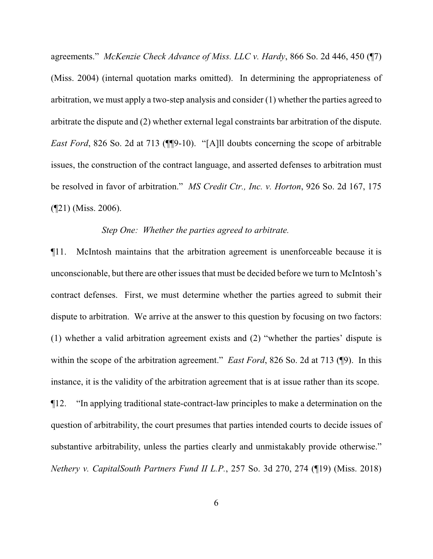agreements." *McKenzie Check Advance of Miss. LLC v. Hardy*, 866 So. 2d 446, 450 (¶7) (Miss. 2004) (internal quotation marks omitted). In determining the appropriateness of arbitration, we must apply a two-step analysis and consider (1) whether the parties agreed to arbitrate the dispute and (2) whether external legal constraints bar arbitration of the dispute. *East Ford*, 826 So. 2d at 713 (¶[9-10). "[A]ll doubts concerning the scope of arbitrable issues, the construction of the contract language, and asserted defenses to arbitration must be resolved in favor of arbitration." *MS Credit Ctr., Inc. v. Horton*, 926 So. 2d 167, 175 (¶21) (Miss. 2006).

#### *Step One: Whether the parties agreed to arbitrate.*

¶11. McIntosh maintains that the arbitration agreement is unenforceable because it is unconscionable, but there are other issues that must be decided before we turn to McIntosh's contract defenses. First, we must determine whether the parties agreed to submit their dispute to arbitration. We arrive at the answer to this question by focusing on two factors: (1) whether a valid arbitration agreement exists and (2) "whether the parties' dispute is within the scope of the arbitration agreement." *East Ford*, 826 So. 2d at 713 (¶9). In this instance, it is the validity of the arbitration agreement that is at issue rather than its scope. ¶12. "In applying traditional state-contract-law principles to make a determination on the question of arbitrability, the court presumes that parties intended courts to decide issues of substantive arbitrability, unless the parties clearly and unmistakably provide otherwise." *Nethery v. CapitalSouth Partners Fund II L.P.*, 257 So. 3d 270, 274 (¶19) (Miss. 2018)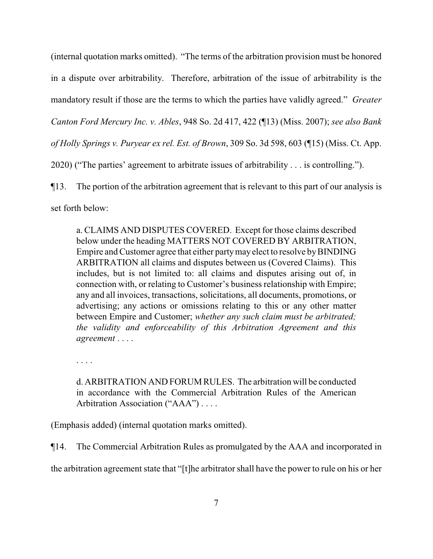(internal quotation marks omitted). "The terms of the arbitration provision must be honored in a dispute over arbitrability. Therefore, arbitration of the issue of arbitrability is the mandatory result if those are the terms to which the parties have validly agreed." *Greater Canton Ford Mercury Inc. v. Ables*, 948 So. 2d 417, 422 (¶13) (Miss. 2007); *see also Bank of Holly Springs v. Puryear ex rel. Est. of Brown*, 309 So. 3d 598, 603 (¶15) (Miss. Ct. App. 2020) ("The parties' agreement to arbitrate issues of arbitrability . . . is controlling.").

¶13. The portion of the arbitration agreement that is relevant to this part of our analysis is set forth below:

a. CLAIMS AND DISPUTES COVERED. Except for those claims described below under the heading MATTERS NOT COVERED BY ARBITRATION, Empire and Customer agree that either party may elect to resolve by BINDING ARBITRATION all claims and disputes between us (Covered Claims). This includes, but is not limited to: all claims and disputes arising out of, in connection with, or relating to Customer's business relationship with Empire; any and all invoices, transactions, solicitations, all documents, promotions, or advertising; any actions or omissions relating to this or any other matter between Empire and Customer; *whether any such claim must be arbitrated; the validity and enforceability of this Arbitration Agreement and this agreement* . . . .

. . . .

d. ARBITRATION AND FORUM RULES. The arbitration will be conducted in accordance with the Commercial Arbitration Rules of the American Arbitration Association ("AAA") . . . .

(Emphasis added) (internal quotation marks omitted).

¶14. The Commercial Arbitration Rules as promulgated by the AAA and incorporated in

the arbitration agreement state that "[t]he arbitrator shall have the power to rule on his or her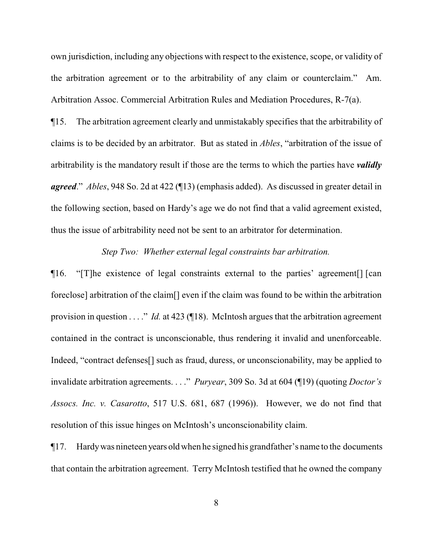own jurisdiction, including any objections with respect to the existence, scope, or validity of the arbitration agreement or to the arbitrability of any claim or counterclaim." Am. Arbitration Assoc. Commercial Arbitration Rules and Mediation Procedures, R-7(a).

¶15. The arbitration agreement clearly and unmistakably specifies that the arbitrability of claims is to be decided by an arbitrator. But as stated in *Ables*, "arbitration of the issue of arbitrability is the mandatory result if those are the terms to which the parties have *validly agreed*." *Ables*, 948 So. 2d at 422 (¶13) (emphasis added). As discussed in greater detail in the following section, based on Hardy's age we do not find that a valid agreement existed, thus the issue of arbitrability need not be sent to an arbitrator for determination.

#### *Step Two: Whether external legal constraints bar arbitration.*

¶16. "[T]he existence of legal constraints external to the parties' agreement[] [can foreclose] arbitration of the claim[] even if the claim was found to be within the arbitration provision in question . . . ." *Id.* at 423 (¶18). McIntosh argues that the arbitration agreement contained in the contract is unconscionable, thus rendering it invalid and unenforceable. Indeed, "contract defenses<sup>[]</sup> such as fraud, duress, or unconscionability, may be applied to invalidate arbitration agreements. . . ." *Puryear*, 309 So. 3d at 604 (¶19) (quoting *Doctor's Assocs. Inc. v. Casarotto*, 517 U.S. 681, 687 (1996)). However, we do not find that resolution of this issue hinges on McIntosh's unconscionability claim.

¶17. Hardywas nineteen years oldwhen he signed his grandfather's name to the documents that contain the arbitration agreement. Terry McIntosh testified that he owned the company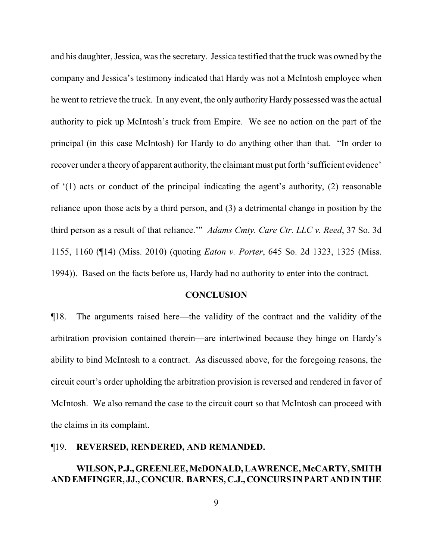and his daughter, Jessica, was the secretary. Jessica testified that the truck was owned by the company and Jessica's testimony indicated that Hardy was not a McIntosh employee when he went to retrieve the truck. In any event, the only authority Hardy possessed was the actual authority to pick up McIntosh's truck from Empire. We see no action on the part of the principal (in this case McIntosh) for Hardy to do anything other than that. "In order to recover under a theoryof apparent authority, the claimant must put forth 'sufficient evidence' of '(1) acts or conduct of the principal indicating the agent's authority, (2) reasonable reliance upon those acts by a third person, and (3) a detrimental change in position by the third person as a result of that reliance.'" *Adams Cmty. Care Ctr. LLC v. Reed*, 37 So. 3d 1155, 1160 (¶14) (Miss. 2010) (quoting *Eaton v. Porter*, 645 So. 2d 1323, 1325 (Miss. 1994)). Based on the facts before us, Hardy had no authority to enter into the contract.

#### **CONCLUSION**

¶18. The arguments raised here—the validity of the contract and the validity of the arbitration provision contained therein—are intertwined because they hinge on Hardy's ability to bind McIntosh to a contract. As discussed above, for the foregoing reasons, the circuit court's order upholding the arbitration provision is reversed and rendered in favor of McIntosh. We also remand the case to the circuit court so that McIntosh can proceed with the claims in its complaint.

#### ¶19. **REVERSED, RENDERED, AND REMANDED.**

## **WILSON,P.J.,GREENLEE,McDONALD, LAWRENCE, McCARTY, SMITH AND EMFINGER, JJ., CONCUR. BARNES, C.J.,CONCURSINPARTANDIN THE**